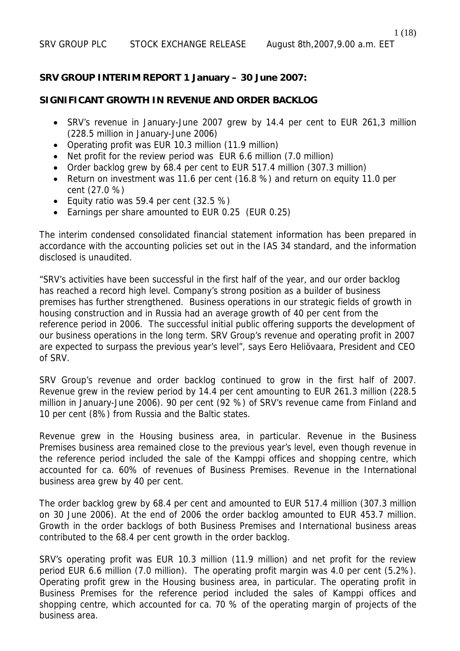## **SRV GROUP INTERIM REPORT 1 January – 30 June 2007:**

#### **SIGNIFICANT GROWTH IN REVENUE AND ORDER BACKLOG**

- SRV's revenue in January-June 2007 grew by 14.4 per cent to EUR 261,3 million (228.5 million in January-June 2006)
- Operating profit was EUR 10.3 million (11.9 million)
- Net profit for the review period was EUR 6.6 million (7.0 million)
- Order backlog grew by 68.4 per cent to EUR 517.4 million (307.3 million)
- Return on investment was 11.6 per cent (16.8 %) and return on equity 11.0 per cent (27.0 %)
- Equity ratio was 59.4 per cent (32.5 %)
- Earnings per share amounted to EUR 0.25 (EUR 0.25)

The interim condensed consolidated financial statement information has been prepared in accordance with the accounting policies set out in the IAS 34 standard, and the information disclosed is unaudited.

"SRV's activities have been successful in the first half of the year, and our order backlog has reached a record high level. Company's strong position as a builder of business premises has further strengthened. Business operations in our strategic fields of growth in housing construction and in Russia had an average growth of 40 per cent from the reference period in 2006. The successful initial public offering supports the development of our business operations in the long term. SRV Group's revenue and operating profit in 2007 are expected to surpass the previous year's level", says Eero Heliövaara, President and CEO of SRV.

SRV Group's revenue and order backlog continued to grow in the first half of 2007. Revenue grew in the review period by 14.4 per cent amounting to EUR 261.3 million (228.5 million in January-June 2006). 90 per cent (92 %) of SRV's revenue came from Finland and 10 per cent (8%) from Russia and the Baltic states.

Revenue grew in the Housing business area, in particular. Revenue in the Business Premises business area remained close to the previous year's level, even though revenue in the reference period included the sale of the Kamppi offices and shopping centre, which accounted for ca. 60% of revenues of Business Premises. Revenue in the International business area grew by 40 per cent.

The order backlog grew by 68.4 per cent and amounted to EUR 517.4 million (307.3 million on 30 June 2006). At the end of 2006 the order backlog amounted to EUR 453.7 million. Growth in the order backlogs of both Business Premises and International business areas contributed to the 68.4 per cent growth in the order backlog.

SRV's operating profit was EUR 10.3 million (11.9 million) and net profit for the review period EUR 6.6 million (7.0 million). The operating profit margin was 4.0 per cent (5.2%). Operating profit grew in the Housing business area, in particular. The operating profit in Business Premises for the reference period included the sales of Kamppi offices and shopping centre, which accounted for ca. 70 % of the operating margin of projects of the business area.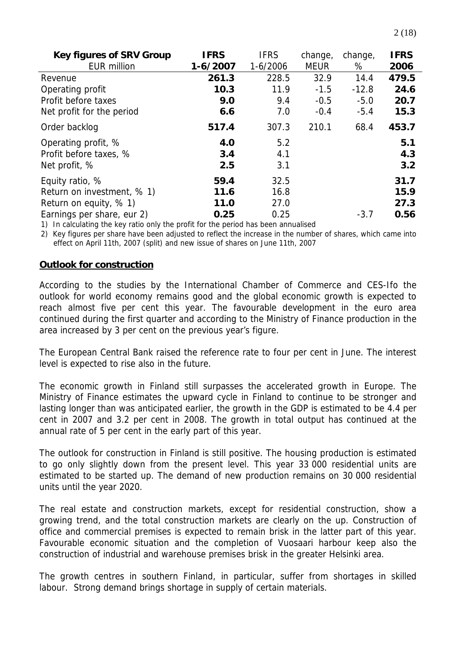|--|--|

| <b>Key figures of SRV Group</b><br><b>EUR million</b> | <b>IFRS</b><br>1-6/2007 | <b>IFRS</b><br>$1-6/2006$ | change,<br><b>MEUR</b> | change,<br>% | <b>IFRS</b><br>2006 |
|-------------------------------------------------------|-------------------------|---------------------------|------------------------|--------------|---------------------|
| Revenue                                               | 261.3                   | 228.5                     | 32.9                   | 14.4         | 479.5               |
| Operating profit                                      | 10.3                    | 11.9                      | $-1.5$                 | $-12.8$      | 24.6                |
| Profit before taxes                                   | 9.0                     | 9.4                       | $-0.5$                 | $-5.0$       | 20.7                |
| Net profit for the period                             | 6.6                     | 7.0                       | $-0.4$                 | $-5.4$       | 15.3                |
| Order backlog                                         | 517.4                   | 307.3                     | 210.1                  | 68.4         | 453.7               |
| Operating profit, %                                   | 4.0                     | 5.2                       |                        |              | 5.1                 |
| Profit before taxes, %                                | 3.4                     | 4.1                       |                        |              | 4.3                 |
| Net profit, %                                         | 2.5                     | 3.1                       |                        |              | 3.2                 |
| Equity ratio, %                                       | 59.4                    | 32.5                      |                        |              | 31.7                |
| Return on investment, % 1)                            | 11.6                    | 16.8                      |                        |              | 15.9                |
| Return on equity, % 1)                                | 11.0                    | 27.0                      |                        |              | 27.3                |
| Earnings per share, eur 2)                            | 0.25                    | 0.25                      |                        | $-3.7$       | 0.56                |

1) In calculating the key ratio only the profit for the period has been annualised

2) Key figures per share have been adjusted to reflect the increase in the number of shares, which came into effect on April 11th, 2007 (split) and new issue of shares on June 11th, 2007

#### **Outlook for construction**

According to the studies by the International Chamber of Commerce and CES-Ifo the outlook for world economy remains good and the global economic growth is expected to reach almost five per cent this year. The favourable development in the euro area continued during the first quarter and according to the Ministry of Finance production in the area increased by 3 per cent on the previous year's figure.

The European Central Bank raised the reference rate to four per cent in June. The interest level is expected to rise also in the future.

The economic growth in Finland still surpasses the accelerated growth in Europe. The Ministry of Finance estimates the upward cycle in Finland to continue to be stronger and lasting longer than was anticipated earlier, the growth in the GDP is estimated to be 4.4 per cent in 2007 and 3.2 per cent in 2008. The growth in total output has continued at the annual rate of 5 per cent in the early part of this year.

The outlook for construction in Finland is still positive. The housing production is estimated to go only slightly down from the present level. This year 33 000 residential units are estimated to be started up. The demand of new production remains on 30 000 residential units until the year 2020.

The real estate and construction markets, except for residential construction, show a growing trend, and the total construction markets are clearly on the up. Construction of office and commercial premises is expected to remain brisk in the latter part of this year. Favourable economic situation and the completion of Vuosaari harbour keep also the construction of industrial and warehouse premises brisk in the greater Helsinki area.

The growth centres in southern Finland, in particular, suffer from shortages in skilled labour. Strong demand brings shortage in supply of certain materials.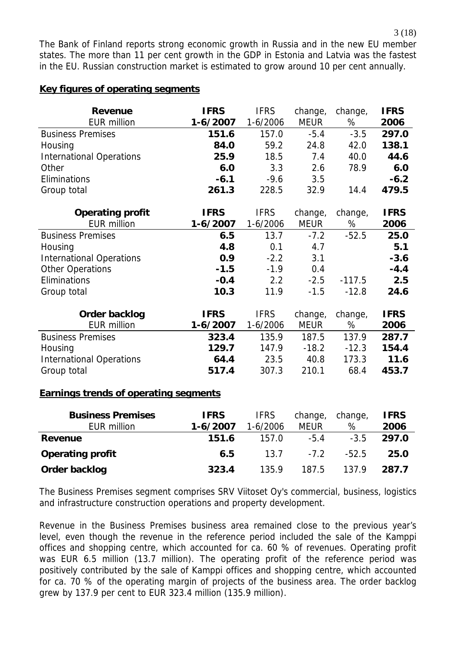The Bank of Finland reports strong economic growth in Russia and in the new EU member states. The more than 11 per cent growth in the GDP in Estonia and Latvia was the fastest in the EU. Russian construction market is estimated to grow around 10 per cent annually.

#### **Key figures of operating segments**

| <b>Revenue</b>                  | <b>IFRS</b> | <b>IFRS</b> | change,     | change,  | <b>IFRS</b> |
|---------------------------------|-------------|-------------|-------------|----------|-------------|
| <b>EUR million</b>              | 1-6/2007    | $1-6/2006$  | <b>MEUR</b> | %        | 2006        |
| <b>Business Premises</b>        | 151.6       | 157.0       | $-5.4$      | $-3.5$   | 297.0       |
| Housing                         | 84.0        | 59.2        | 24.8        | 42.0     | 138.1       |
| <b>International Operations</b> | 25.9        | 18.5        | 7.4         | 40.0     | 44.6        |
| Other                           | 6.0         | 3.3         | 2.6         | 78.9     | 6.0         |
| Eliminations                    | $-6.1$      | $-9.6$      | 3.5         |          | $-6.2$      |
| Group total                     | 261.3       | 228.5       | 32.9        | 14.4     | 479.5       |
| <b>Operating profit</b>         | <b>IFRS</b> | <b>IFRS</b> | change,     | change,  | <b>IFRS</b> |
| <b>EUR million</b>              | 1-6/2007    | $1-6/2006$  | <b>MEUR</b> | %        | 2006        |
| <b>Business Premises</b>        | 6.5         | 13.7        | $-7.2$      | $-52.5$  | 25.0        |
| Housing                         | 4.8         | 0.1         | 4.7         |          | 5.1         |
| <b>International Operations</b> | 0.9         | $-2.2$      | 3.1         |          | $-3.6$      |
| <b>Other Operations</b>         | $-1.5$      | $-1.9$      | 0.4         |          | $-4.4$      |
| Eliminations                    | $-0.4$      | 2.2         | $-2.5$      | $-117.5$ | 2.5         |
| Group total                     | 10.3        | 11.9        | $-1.5$      | $-12.8$  | 24.6        |
| Order backlog                   | <b>IFRS</b> | <b>IFRS</b> | change,     | change,  | <b>IFRS</b> |
| <b>EUR million</b>              | 1-6/2007    | $1-6/2006$  | <b>MEUR</b> | %        | 2006        |
| <b>Business Premises</b>        | 323.4       | 135.9       | 187.5       | 137.9    | 287.7       |
| Housing                         | 129.7       | 147.9       | $-18.2$     | $-12.3$  | 154.4       |
| <b>International Operations</b> | 64.4        | 23.5        | 40.8        | 173.3    | 11.6        |
| Group total                     | 517.4       | 307.3       | 210.1       | 68.4     | 453.7       |
|                                 |             |             |             |          |             |

#### **Earnings trends of operating segments**

| <b>Business Premises</b><br>EUR million | <b>IFRS</b><br>1-6/2007 | <b>IFRS</b><br>$1-6/2006$ | change,<br><b>MEUR</b> | change,<br>% | <b>IFRS</b><br>2006 |
|-----------------------------------------|-------------------------|---------------------------|------------------------|--------------|---------------------|
| Revenue                                 | 151.6                   | 157.0                     | $-5.4$                 | $-3.5$       | 297.0               |
| <b>Operating profit</b>                 | 6.5                     | 13.7                      | $-7.2$                 | $-52.5$      | 25.0                |
| Order backlog                           | 323.4                   | 135.9                     | 187.5                  | 137.9        | 287.7               |

The Business Premises segment comprises SRV Viitoset Oy's commercial, business, logistics and infrastructure construction operations and property development.

Revenue in the Business Premises business area remained close to the previous year's level, even though the revenue in the reference period included the sale of the Kamppi offices and shopping centre, which accounted for ca. 60 % of revenues. Operating profit was EUR 6.5 million (13.7 million). The operating profit of the reference period was positively contributed by the sale of Kamppi offices and shopping centre, which accounted for ca. 70 % of the operating margin of projects of the business area. The order backlog grew by 137.9 per cent to EUR 323.4 million (135.9 million).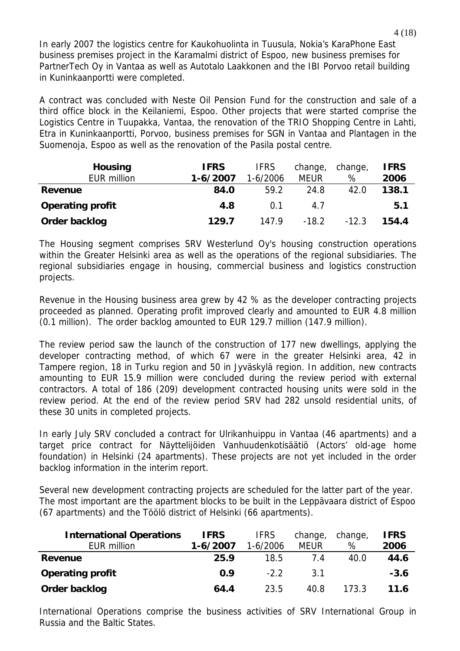In early 2007 the logistics centre for Kaukohuolinta in Tuusula, Nokia's KaraPhone East business premises project in the Karamalmi district of Espoo, new business premises for PartnerTech Oy in Vantaa as well as Autotalo Laakkonen and the IBI Porvoo retail building in Kuninkaanportti were completed.

A contract was concluded with Neste Oil Pension Fund for the construction and sale of a third office block in the Keilaniemi, Espoo. Other projects that were started comprise the Logistics Centre in Tuupakka, Vantaa, the renovation of the TRIO Shopping Centre in Lahti, Etra in Kuninkaanportti, Porvoo, business premises for SGN in Vantaa and Plantagen in the Suomenoja, Espoo as well as the renovation of the Pasila postal centre.

| <b>Housing</b>          | <b>IFRS</b> | <b>IFRS</b> | change,     | change, | <b>IFRS</b> |
|-------------------------|-------------|-------------|-------------|---------|-------------|
| <b>EUR million</b>      | 1-6/2007    | $1-6/2006$  | <b>MEUR</b> | %       | 2006        |
| Revenue                 | 84.0        | 59.2        | 24.8        | 42.0    | 138.1       |
| <b>Operating profit</b> | 4.8         | 0.1         | 4.7         |         | 5.1         |
| Order backlog           | 129.7       | 1479        | $-18.2$     | $-12.3$ | 154.4       |

The Housing segment comprises SRV Westerlund Oy's housing construction operations within the Greater Helsinki area as well as the operations of the regional subsidiaries. The regional subsidiaries engage in housing, commercial business and logistics construction projects.

Revenue in the Housing business area grew by 42 % as the developer contracting projects proceeded as planned. Operating profit improved clearly and amounted to EUR 4.8 million (0.1 million). The order backlog amounted to EUR 129.7 million (147.9 million).

The review period saw the launch of the construction of 177 new dwellings, applying the developer contracting method, of which 67 were in the greater Helsinki area, 42 in Tampere region, 18 in Turku region and 50 in Jyväskylä region. In addition, new contracts amounting to EUR 15.9 million were concluded during the review period with external contractors. A total of 186 (209) development contracted housing units were sold in the review period. At the end of the review period SRV had 282 unsold residential units, of these 30 units in completed projects.

In early July SRV concluded a contract for Ulrikanhuippu in Vantaa (46 apartments) and a target price contract for Näyttelijöiden Vanhuudenkotisäätiö (Actors' old-age home foundation) in Helsinki (24 apartments). These projects are not yet included in the order backlog information in the interim report.

Several new development contracting projects are scheduled for the latter part of the year. The most important are the apartment blocks to be built in the Leppävaara district of Espoo (67 apartments) and the Töölö district of Helsinki (66 apartments).

| <b>International Operations</b> | <b>IFRS</b> | <b>IFRS</b> | change,     | change, | <b>IFRS</b> |
|---------------------------------|-------------|-------------|-------------|---------|-------------|
| <b>EUR million</b>              | $1-6/2007$  | $1-6/2006$  | <b>MEUR</b> | %       | 2006        |
| Revenue                         | 25.9        | 18.5        | 7.4         | 40.0    | 44.6        |
| <b>Operating profit</b>         | 0.9         | $-22$       | 3.1         |         | $-3.6$      |
| Order backlog                   | 64.4        | 23.5        | 40.8        | 173.3   | 11.6        |

International Operations comprise the business activities of SRV International Group in Russia and the Baltic States.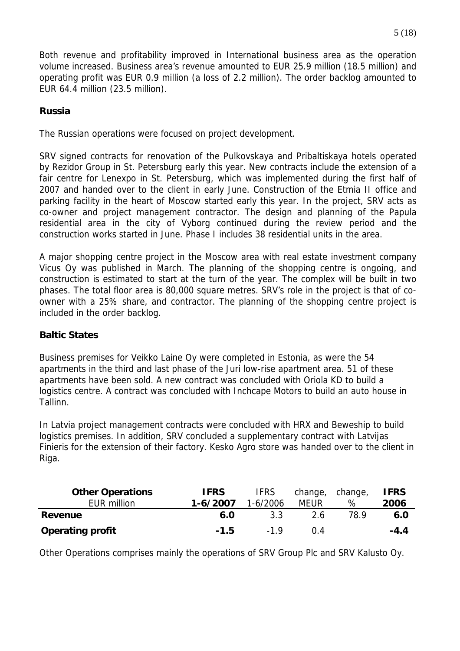Both revenue and profitability improved in International business area as the operation volume increased. Business area's revenue amounted to EUR 25.9 million (18.5 million) and operating profit was EUR 0.9 million (a loss of 2.2 million). The order backlog amounted to EUR 64.4 million (23.5 million).

## **Russia**

The Russian operations were focused on project development.

SRV signed contracts for renovation of the Pulkovskaya and Pribaltiskaya hotels operated by Rezidor Group in St. Petersburg early this year. New contracts include the extension of a fair centre for Lenexpo in St. Petersburg, which was implemented during the first half of 2007 and handed over to the client in early June. Construction of the Etmia II office and parking facility in the heart of Moscow started early this year. In the project, SRV acts as co-owner and project management contractor. The design and planning of the Papula residential area in the city of Vyborg continued during the review period and the construction works started in June. Phase I includes 38 residential units in the area.

A major shopping centre project in the Moscow area with real estate investment company Vicus Oy was published in March. The planning of the shopping centre is ongoing, and construction is estimated to start at the turn of the year. The complex will be built in two phases. The total floor area is 80,000 square metres. SRV's role in the project is that of coowner with a 25% share, and contractor. The planning of the shopping centre project is included in the order backlog.

# **Baltic States**

Business premises for Veikko Laine Oy were completed in Estonia, as were the 54 apartments in the third and last phase of the Juri low-rise apartment area. 51 of these apartments have been sold. A new contract was concluded with Oriola KD to build a logistics centre. A contract was concluded with Inchcape Motors to build an auto house in Tallinn.

In Latvia project management contracts were concluded with HRX and Beweship to build logistics premises. In addition, SRV concluded a supplementary contract with Latvijas Finieris for the extension of their factory. Kesko Agro store was handed over to the client in Riga.

| <b>Other Operations</b><br>EUR million | <b>IFRS</b><br>$1-6/2007$ | <b>IFRS</b><br>$1-6/2006$ | change, change,<br><b>MEUR</b> | %    | <b>IFRS</b><br>2006 |
|----------------------------------------|---------------------------|---------------------------|--------------------------------|------|---------------------|
| Revenue                                | 6.0                       | 3.3                       | 2.6                            | 78.9 | 6.0                 |
| <b>Operating profit</b>                | $-1.5$                    | $-19$                     | O 4                            |      | $-4.4$              |

Other Operations comprises mainly the operations of SRV Group Plc and SRV Kalusto Oy.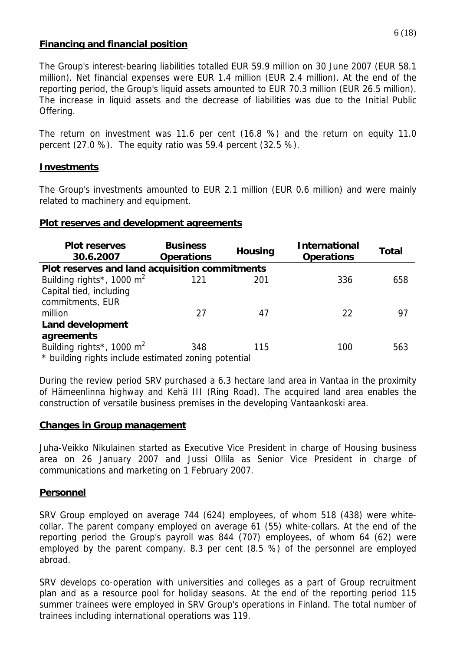## **Financing and financial position**

The Group's interest-bearing liabilities totalled EUR 59.9 million on 30 June 2007 (EUR 58.1 million). Net financial expenses were EUR 1.4 million (EUR 2.4 million). At the end of the reporting period, the Group's liquid assets amounted to EUR 70.3 million (EUR 26.5 million). The increase in liquid assets and the decrease of liabilities was due to the Initial Public Offering.

The return on investment was 11.6 per cent (16.8 %) and the return on equity 11.0 percent (27.0 %). The equity ratio was 59.4 percent (32.5 %).

## **Investments**

The Group's investments amounted to EUR 2.1 million (EUR 0.6 million) and were mainly related to machinery and equipment.

## **Plot reserves and development agreements**

| <b>Plot reserves</b><br>30.6.2007                    | <b>Business</b><br><b>Operations</b> | <b>Housing</b> | <b>International</b><br><b>Operations</b> | Total |  |  |  |  |  |
|------------------------------------------------------|--------------------------------------|----------------|-------------------------------------------|-------|--|--|--|--|--|
| Plot reserves and land acquisition commitments       |                                      |                |                                           |       |  |  |  |  |  |
| Building rights <sup>*</sup> , 1000 $m2$             | 121                                  | 201            | 336                                       | 658   |  |  |  |  |  |
| Capital tied, including                              |                                      |                |                                           |       |  |  |  |  |  |
| commitments, EUR                                     |                                      |                |                                           |       |  |  |  |  |  |
| million                                              | 27                                   | 47             | 22                                        | 97    |  |  |  |  |  |
| <b>Land development</b>                              |                                      |                |                                           |       |  |  |  |  |  |
| agreements                                           |                                      |                |                                           |       |  |  |  |  |  |
| Building rights*, 1000 $m^2$                         | 348                                  | 115            | 100                                       | 563   |  |  |  |  |  |
| * building rights include estimated zoning potential |                                      |                |                                           |       |  |  |  |  |  |

building rights include estimated zoning potential

During the review period SRV purchased a 6.3 hectare land area in Vantaa in the proximity of Hämeenlinna highway and Kehä III (Ring Road). The acquired land area enables the construction of versatile business premises in the developing Vantaankoski area.

## **Changes in Group management**

Juha-Veikko Nikulainen started as Executive Vice President in charge of Housing business area on 26 January 2007 and Jussi Ollila as Senior Vice President in charge of communications and marketing on 1 February 2007.

## **Personnel**

SRV Group employed on average 744 (624) employees, of whom 518 (438) were whitecollar. The parent company employed on average 61 (55) white-collars. At the end of the reporting period the Group's payroll was 844 (707) employees, of whom 64 (62) were employed by the parent company. 8.3 per cent (8.5 %) of the personnel are employed abroad.

SRV develops co-operation with universities and colleges as a part of Group recruitment plan and as a resource pool for holiday seasons. At the end of the reporting period 115 summer trainees were employed in SRV Group's operations in Finland. The total number of trainees including international operations was 119.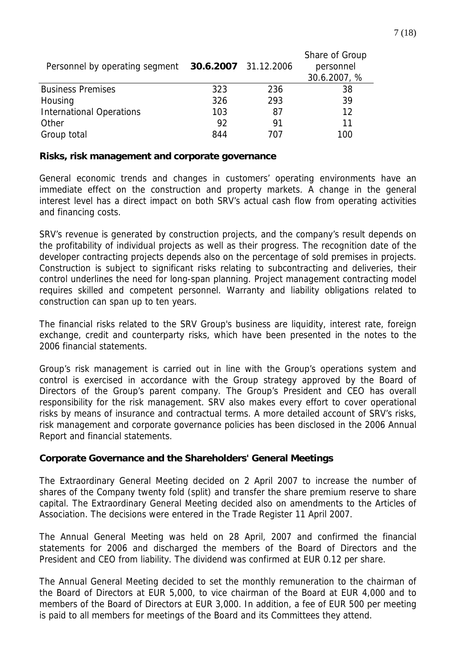| Personnel by operating segment  | <b>30.6.2007</b> 31.12.2006 |     | Share of Group<br>personnel<br>30.6.2007, % |
|---------------------------------|-----------------------------|-----|---------------------------------------------|
| <b>Business Premises</b>        | 323                         | 236 | 38                                          |
| Housing                         | 326                         | 293 | 39                                          |
| <b>International Operations</b> | 103                         | 87  | 12                                          |
| Other                           | 92                          | 91  | 11                                          |
| Group total                     | 844                         | 707 | 100                                         |

#### **Risks, risk management and corporate governance**

General economic trends and changes in customers' operating environments have an immediate effect on the construction and property markets. A change in the general interest level has a direct impact on both SRV's actual cash flow from operating activities and financing costs.

SRV's revenue is generated by construction projects, and the company's result depends on the profitability of individual projects as well as their progress. The recognition date of the developer contracting projects depends also on the percentage of sold premises in projects. Construction is subject to significant risks relating to subcontracting and deliveries, their control underlines the need for long-span planning. Project management contracting model requires skilled and competent personnel. Warranty and liability obligations related to construction can span up to ten years.

The financial risks related to the SRV Group's business are liquidity, interest rate, foreign exchange, credit and counterparty risks, which have been presented in the notes to the 2006 financial statements.

Group's risk management is carried out in line with the Group's operations system and control is exercised in accordance with the Group strategy approved by the Board of Directors of the Group's parent company. The Group's President and CEO has overall responsibility for the risk management. SRV also makes every effort to cover operational risks by means of insurance and contractual terms. A more detailed account of SRV's risks, risk management and corporate governance policies has been disclosed in the 2006 Annual Report and financial statements.

#### **Corporate Governance and the Shareholders' General Meetings**

The Extraordinary General Meeting decided on 2 April 2007 to increase the number of shares of the Company twenty fold (split) and transfer the share premium reserve to share capital. The Extraordinary General Meeting decided also on amendments to the Articles of Association. The decisions were entered in the Trade Register 11 April 2007.

The Annual General Meeting was held on 28 April, 2007 and confirmed the financial statements for 2006 and discharged the members of the Board of Directors and the President and CEO from liability. The dividend was confirmed at EUR 0.12 per share.

The Annual General Meeting decided to set the monthly remuneration to the chairman of the Board of Directors at EUR 5,000, to vice chairman of the Board at EUR 4,000 and to members of the Board of Directors at EUR 3,000. In addition, a fee of EUR 500 per meeting is paid to all members for meetings of the Board and its Committees they attend.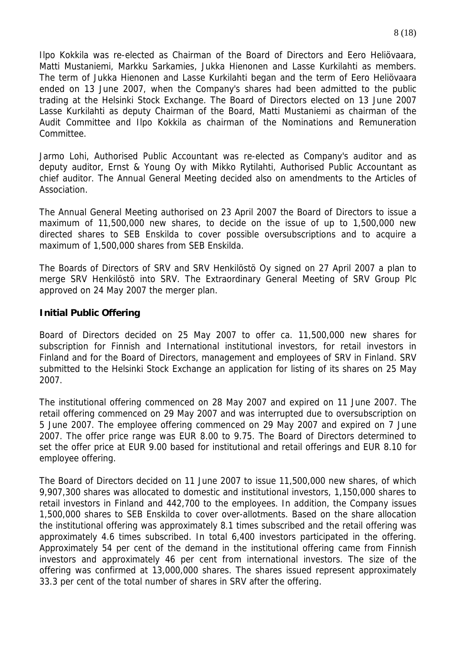Ilpo Kokkila was re-elected as Chairman of the Board of Directors and Eero Heliövaara, Matti Mustaniemi, Markku Sarkamies, Jukka Hienonen and Lasse Kurkilahti as members. The term of Jukka Hienonen and Lasse Kurkilahti began and the term of Eero Heliövaara ended on 13 June 2007, when the Company's shares had been admitted to the public trading at the Helsinki Stock Exchange. The Board of Directors elected on 13 June 2007 Lasse Kurkilahti as deputy Chairman of the Board, Matti Mustaniemi as chairman of the Audit Committee and Ilpo Kokkila as chairman of the Nominations and Remuneration Committee.

Jarmo Lohi, Authorised Public Accountant was re-elected as Company's auditor and as deputy auditor, Ernst & Young Oy with Mikko Rytilahti, Authorised Public Accountant as chief auditor. The Annual General Meeting decided also on amendments to the Articles of Association.

The Annual General Meeting authorised on 23 April 2007 the Board of Directors to issue a maximum of 11,500,000 new shares, to decide on the issue of up to 1,500,000 new directed shares to SEB Enskilda to cover possible oversubscriptions and to acquire a maximum of 1,500,000 shares from SEB Enskilda.

The Boards of Directors of SRV and SRV Henkilöstö Oy signed on 27 April 2007 a plan to merge SRV Henkilöstö into SRV. The Extraordinary General Meeting of SRV Group Plc approved on 24 May 2007 the merger plan.

#### **Initial Public Offering**

Board of Directors decided on 25 May 2007 to offer ca. 11,500,000 new shares for subscription for Finnish and International institutional investors, for retail investors in Finland and for the Board of Directors, management and employees of SRV in Finland. SRV submitted to the Helsinki Stock Exchange an application for listing of its shares on 25 May 2007.

The institutional offering commenced on 28 May 2007 and expired on 11 June 2007. The retail offering commenced on 29 May 2007 and was interrupted due to oversubscription on 5 June 2007. The employee offering commenced on 29 May 2007 and expired on 7 June 2007. The offer price range was EUR 8.00 to 9.75. The Board of Directors determined to set the offer price at EUR 9.00 based for institutional and retail offerings and EUR 8.10 for employee offering.

The Board of Directors decided on 11 June 2007 to issue 11,500,000 new shares, of which 9,907,300 shares was allocated to domestic and institutional investors, 1,150,000 shares to retail investors in Finland and 442,700 to the employees. In addition, the Company issues 1,500,000 shares to SEB Enskilda to cover over-allotments. Based on the share allocation the institutional offering was approximately 8.1 times subscribed and the retail offering was approximately 4.6 times subscribed. In total 6,400 investors participated in the offering. Approximately 54 per cent of the demand in the institutional offering came from Finnish investors and approximately 46 per cent from international investors. The size of the offering was confirmed at 13,000,000 shares. The shares issued represent approximately 33.3 per cent of the total number of shares in SRV after the offering.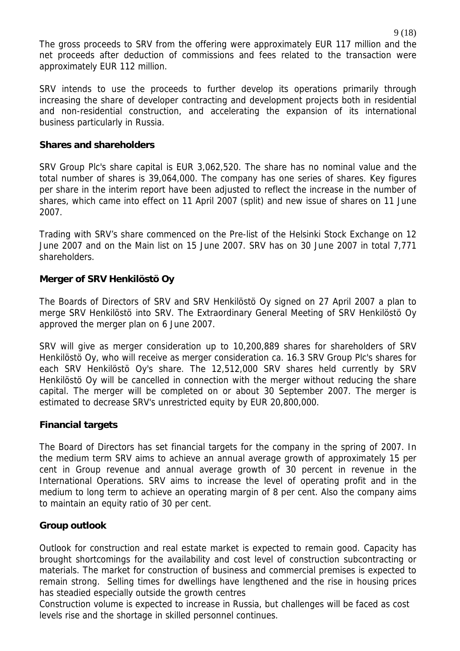The gross proceeds to SRV from the offering were approximately EUR 117 million and the net proceeds after deduction of commissions and fees related to the transaction were approximately EUR 112 million.

SRV intends to use the proceeds to further develop its operations primarily through increasing the share of developer contracting and development projects both in residential and non-residential construction, and accelerating the expansion of its international business particularly in Russia.

## **Shares and shareholders**

SRV Group Plc's share capital is EUR 3,062,520. The share has no nominal value and the total number of shares is 39,064,000. The company has one series of shares. Key figures per share in the interim report have been adjusted to reflect the increase in the number of shares, which came into effect on 11 April 2007 (split) and new issue of shares on 11 June 2007.

Trading with SRV's share commenced on the Pre-list of the Helsinki Stock Exchange on 12 June 2007 and on the Main list on 15 June 2007. SRV has on 30 June 2007 in total 7,771 shareholders.

## **Merger of SRV Henkilöstö Oy**

The Boards of Directors of SRV and SRV Henkilöstö Oy signed on 27 April 2007 a plan to merge SRV Henkilöstö into SRV. The Extraordinary General Meeting of SRV Henkilöstö Oy approved the merger plan on 6 June 2007.

SRV will give as merger consideration up to 10,200,889 shares for shareholders of SRV Henkilöstö Oy, who will receive as merger consideration ca. 16.3 SRV Group Plc's shares for each SRV Henkilöstö Oy's share. The 12,512,000 SRV shares held currently by SRV Henkilöstö Oy will be cancelled in connection with the merger without reducing the share capital. The merger will be completed on or about 30 September 2007. The merger is estimated to decrease SRV's unrestricted equity by EUR 20,800,000.

## **Financial targets**

The Board of Directors has set financial targets for the company in the spring of 2007. In the medium term SRV aims to achieve an annual average growth of approximately 15 per cent in Group revenue and annual average growth of 30 percent in revenue in the International Operations. SRV aims to increase the level of operating profit and in the medium to long term to achieve an operating margin of 8 per cent. Also the company aims to maintain an equity ratio of 30 per cent.

## **Group outlook**

Outlook for construction and real estate market is expected to remain good. Capacity has brought shortcomings for the availability and cost level of construction subcontracting or materials. The market for construction of business and commercial premises is expected to remain strong. Selling times for dwellings have lengthened and the rise in housing prices has steadied especially outside the growth centres

Construction volume is expected to increase in Russia, but challenges will be faced as cost levels rise and the shortage in skilled personnel continues.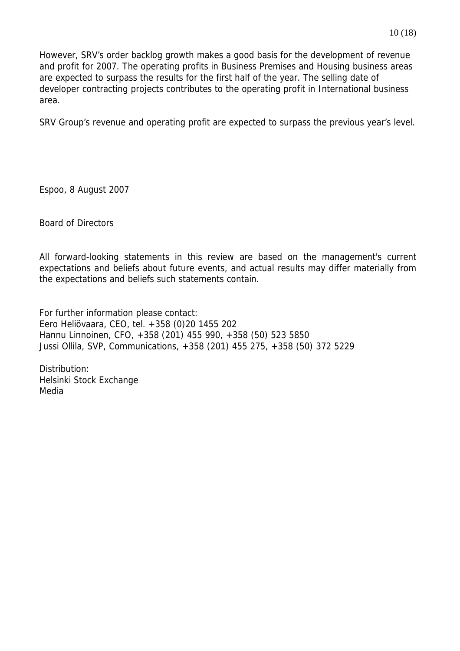However, SRV's order backlog growth makes a good basis for the development of revenue and profit for 2007. The operating profits in Business Premises and Housing business areas are expected to surpass the results for the first half of the year. The selling date of developer contracting projects contributes to the operating profit in International business area.

SRV Group's revenue and operating profit are expected to surpass the previous year's level.

Espoo, 8 August 2007

Board of Directors

All forward-looking statements in this review are based on the management's current expectations and beliefs about future events, and actual results may differ materially from the expectations and beliefs such statements contain.

For further information please contact: Eero Heliövaara, CEO, tel. +358 (0)20 1455 202 Hannu Linnoinen, CFO, +358 (201) 455 990, +358 (50) 523 5850 Jussi Ollila, SVP, Communications, +358 (201) 455 275, +358 (50) 372 5229

Distribution: Helsinki Stock Exchange Media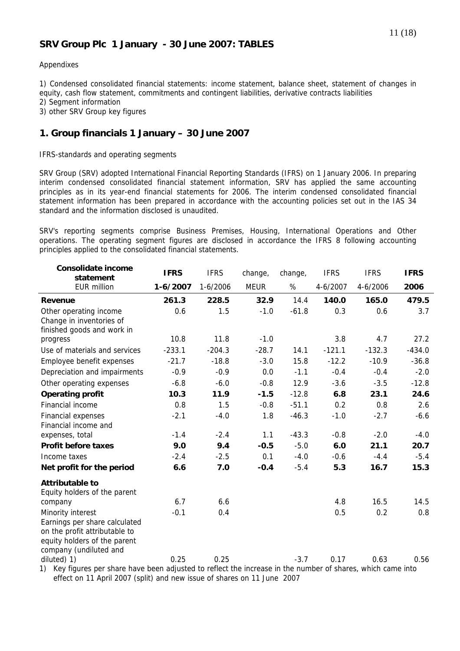#### Appendixes

1) Condensed consolidated financial statements: income statement, balance sheet, statement of changes in equity, cash flow statement, commitments and contingent liabilities, derivative contracts liabilities 2) Segment information

3) other SRV Group key figures

### **1. Group financials 1 January – 30 June 2007**

IFRS-standards and operating segments

SRV Group (SRV) adopted International Financial Reporting Standards (IFRS) on 1 January 2006. In preparing interim condensed consolidated financial statement information, SRV has applied the same accounting principles as in its year-end financial statements for 2006. The interim condensed consolidated financial statement information has been prepared in accordance with the accounting policies set out in the IAS 34 standard and the information disclosed is unaudited.

SRV's reporting segments comprise Business Premises, Housing, International Operations and Other operations. The operating segment figures are disclosed in accordance the IFRS 8 following accounting principles applied to the consolidated financial statements.

| statement                                                                                                                                                             |          |
|-----------------------------------------------------------------------------------------------------------------------------------------------------------------------|----------|
| $1-6/2007$<br>$1 - 6/2006$<br><b>MEUR</b><br>%<br>$4 - 6/2007$<br>4-6/2006<br>EUR million                                                                             | 2006     |
| 261.3<br>228.5<br>32.9<br>140.0<br>165.0<br>14.4<br>Revenue                                                                                                           | 479.5    |
| 0.6<br>1.5<br>$-1.0$<br>$-61.8$<br>0.3<br>0.6<br>Other operating income                                                                                               | 3.7      |
| Change in inventories of<br>finished goods and work in                                                                                                                |          |
| 10.8<br>11.8<br>3.8<br>4.7<br>$-1.0$<br>progress                                                                                                                      | 27.2     |
| $-204.3$<br>$-132.3$<br>$-233.1$<br>$-28.7$<br>14.1<br>$-121.1$<br>Use of materials and services                                                                      | $-434.0$ |
| $-10.9$<br>$-21.7$<br>$-18.8$<br>$-3.0$<br>15.8<br>$-12.2$<br>Employee benefit expenses                                                                               | $-36.8$  |
| Depreciation and impairments<br>$-0.9$<br>$-0.9$<br>0.0<br>$-1.1$<br>$-0.4$<br>$-0.4$                                                                                 | $-2.0$   |
| 12.9<br>$-6.8$<br>$-6.0$<br>$-0.8$<br>$-3.6$<br>$-3.5$<br>Other operating expenses                                                                                    | $-12.8$  |
| 10.3<br>11.9<br>$-12.8$<br>23.1<br><b>Operating profit</b><br>$-1.5$<br>6.8                                                                                           | 24.6     |
| Financial income<br>0.8<br>1.5<br>$-0.8$<br>$-51.1$<br>0.2<br>0.8                                                                                                     | 2.6      |
| $-2.1$<br>$-46.3$<br>$-4.0$<br>1.8<br>$-1.0$<br>$-2.7$<br>Financial expenses<br>Financial income and                                                                  | $-6.6$   |
| $-2.4$<br>$-43.3$<br>$-2.0$<br>$-1.4$<br>1.1<br>$-0.8$<br>expenses, total                                                                                             | $-4.0$   |
| <b>Profit before taxes</b><br>21.1<br>9.0<br>9.4<br>$-0.5$<br>$-5.0$<br>6.0                                                                                           | 20.7     |
| 0.1<br>$-4.0$<br>$-2.4$<br>$-2.5$<br>$-0.6$<br>$-4.4$<br>Income taxes                                                                                                 | $-5.4$   |
| Net profit for the period<br>6.6<br>7.0<br>$-5.4$<br>5.3<br>16.7<br>$-0.4$                                                                                            | 15.3     |
| <b>Attributable to</b><br>Equity holders of the parent                                                                                                                |          |
| 6.7<br>16.5<br>6.6<br>4.8<br>company                                                                                                                                  | 14.5     |
| 0.5<br>0.2<br>Minority interest<br>$-0.1$<br>0.4                                                                                                                      | 0.8      |
| Earnings per share calculated<br>on the profit attributable to<br>equity holders of the parent<br>company (undiluted and                                              |          |
| 0.25<br>0.25<br>$-3.7$<br>0.17<br>0.63<br>diluted) 1)<br>1) Key figures per share have been adjusted to reflect the increase in the number of shares, which came into | 0.56     |

1) Key figures per share have been adjusted to reflect the increase in the number of shares, which came into effect on 11 April 2007 (split) and new issue of shares on 11 June 2007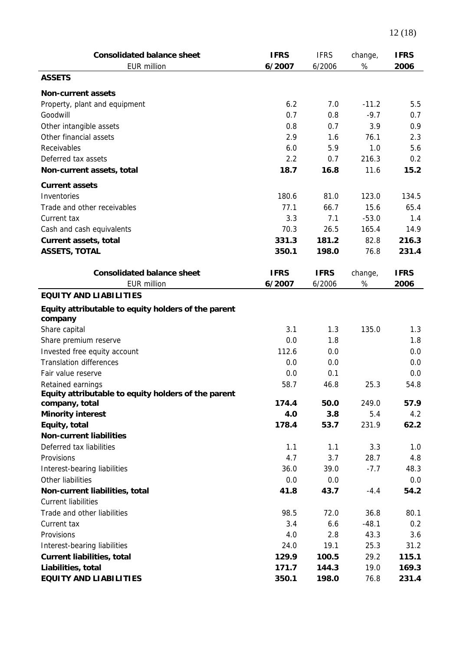| <b>Consolidated balance sheet</b><br><b>EUR million</b>        | <b>IFRS</b><br>6/2007 | <b>IFRS</b><br>6/2006 | change,<br>$\%$ | <b>IFRS</b><br>2006 |
|----------------------------------------------------------------|-----------------------|-----------------------|-----------------|---------------------|
| <b>ASSETS</b>                                                  |                       |                       |                 |                     |
| <b>Non-current assets</b>                                      |                       |                       |                 |                     |
| Property, plant and equipment                                  | 6.2                   | 7.0                   | $-11.2$         | 5.5                 |
| Goodwill                                                       | 0.7                   | 0.8                   | $-9.7$          | 0.7                 |
| Other intangible assets                                        | 0.8                   | 0.7                   | 3.9             | 0.9                 |
| Other financial assets                                         | 2.9                   | 1.6                   | 76.1            | 2.3                 |
| Receivables                                                    | 6.0                   | 5.9                   | 1.0             | 5.6                 |
| Deferred tax assets                                            | 2.2                   | 0.7                   | 216.3           | 0.2                 |
| Non-current assets, total                                      | 18.7                  | 16.8                  | 11.6            | 15.2                |
| <b>Current assets</b>                                          |                       |                       |                 |                     |
| Inventories                                                    | 180.6                 | 81.0                  | 123.0           | 134.5               |
| Trade and other receivables                                    | 77.1                  | 66.7                  | 15.6            | 65.4                |
| Current tax                                                    | 3.3                   | 7.1                   | $-53.0$         | 1.4                 |
| Cash and cash equivalents                                      | 70.3                  | 26.5                  | 165.4           | 14.9                |
| <b>Current assets, total</b>                                   | 331.3                 | 181.2                 | 82.8            | 216.3               |
| <b>ASSETS, TOTAL</b>                                           | 350.1                 | 198.0                 | 76.8            | 231.4               |
|                                                                |                       |                       |                 |                     |
| <b>Consolidated balance sheet</b>                              | <b>IFRS</b>           | <b>IFRS</b>           | change,         | <b>IFRS</b>         |
| <b>EUR million</b>                                             | 6/2007                | 6/2006                | $\%$            | 2006                |
| <b>EQUITY AND LIABILITIES</b>                                  |                       |                       |                 |                     |
| Equity attributable to equity holders of the parent<br>company |                       |                       |                 |                     |
| Share capital                                                  | 3.1                   | 1.3                   | 135.0           | 1.3                 |
| Share premium reserve                                          | 0.0                   | 1.8                   |                 | 1.8                 |
| Invested free equity account                                   | 112.6                 | 0.0                   |                 | 0.0                 |
| <b>Translation differences</b>                                 | 0.0                   | 0.0                   |                 | 0.0                 |
| Fair value reserve                                             | 0.0                   | 0.1                   |                 | 0.0                 |
| Retained earnings                                              | 58.7                  | 46.8                  | 25.3            | 54.8                |
| Equity attributable to equity holders of the parent            |                       |                       |                 |                     |
| company, total                                                 | 174.4                 | 50.0                  | 249.0           | 57.9                |
| <b>Minority interest</b>                                       | 4.0                   | 3.8                   | 5.4             | 4.2                 |
| Equity, total                                                  | 178.4                 | 53.7                  | 231.9           | 62.2                |
| <b>Non-current liabilities</b>                                 |                       |                       |                 |                     |
| Deferred tax liabilities                                       | 1.1                   | 1.1                   | 3.3             | 1.0                 |
| Provisions                                                     | 4.7                   | 3.7                   | 28.7            | 4.8                 |
| Interest-bearing liabilities                                   | 36.0                  | 39.0                  | $-7.7$          | 48.3                |
| Other liabilities                                              | $0.0\,$               | 0.0                   |                 | 0.0                 |
| Non-current liabilities, total                                 | 41.8                  | 43.7                  | $-4.4$          | 54.2                |
| <b>Current liabilities</b>                                     |                       |                       |                 |                     |
| Trade and other liabilities                                    | 98.5                  | 72.0                  | 36.8            | 80.1                |
| Current tax                                                    | 3.4                   | 6.6                   | $-48.1$         | 0.2                 |
| Provisions                                                     | 4.0                   | 2.8                   | 43.3            | 3.6                 |
| Interest-bearing liabilities                                   | 24.0                  | 19.1                  | 25.3            | 31.2                |
| <b>Current liabilities, total</b>                              | 129.9                 | 100.5                 | 29.2            | 115.1               |
| Liabilities, total                                             | 171.7                 | 144.3                 | 19.0            | 169.3               |
| <b>EQUITY AND LIABILITIES</b>                                  | 350.1                 | 198.0                 | 76.8            | 231.4               |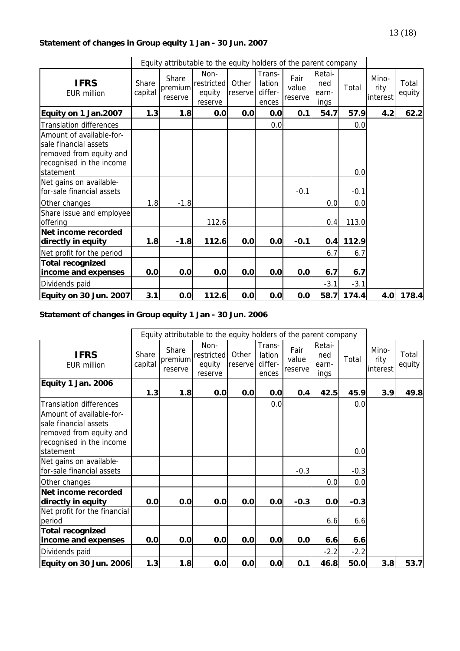## **Statement of changes in Group equity 1 Jan - 30 Jun. 2007**

|                                                                                                                       |                  |                             | Equity attributable to the equity holders of the parent company |                  |                                      |                          |                                |        |                           |                 |
|-----------------------------------------------------------------------------------------------------------------------|------------------|-----------------------------|-----------------------------------------------------------------|------------------|--------------------------------------|--------------------------|--------------------------------|--------|---------------------------|-----------------|
| <b>IFRS</b><br><b>EUR million</b>                                                                                     | Share<br>capital | Share<br>premium<br>reserve | Non-<br>restricted<br>equity<br>reserve                         | Other<br>reserve | Trans-<br>lation<br>differ-<br>ences | Fair<br>value<br>reserve | Retai-<br>ned<br>earn-<br>ings | Total  | Mino-<br>rity<br>interest | Total<br>equity |
| Equity on 1 Jan.2007                                                                                                  | 1.3              | 1.8                         | 0.0                                                             | 0.0              | 0.0                                  | 0.1                      | 54.7                           | 57.9   | 4.2                       | 62.2            |
| <b>Translation differences</b>                                                                                        |                  |                             |                                                                 |                  | 0.0                                  |                          |                                | 0.0    |                           |                 |
| Amount of available-for-<br>sale financial assets<br>removed from equity and<br>recognised in the income<br>statement |                  |                             |                                                                 |                  |                                      |                          |                                | 0.0    |                           |                 |
| Net gains on available-<br>for-sale financial assets                                                                  |                  |                             |                                                                 |                  |                                      | $-0.1$                   |                                | $-0.1$ |                           |                 |
| Other changes                                                                                                         | 1.8              | $-1.8$                      |                                                                 |                  |                                      |                          | 0.0                            | 0.0    |                           |                 |
| Share issue and employee<br>offering                                                                                  |                  |                             | 112.6                                                           |                  |                                      |                          | 0.4                            | 113.0  |                           |                 |
| Net income recorded<br>directly in equity                                                                             | 1.8              | $-1.8$                      | 112.6                                                           | 0.0              | 0.0                                  | $-0.1$                   | 0.4                            | 112.9  |                           |                 |
| Net profit for the period                                                                                             |                  |                             |                                                                 |                  |                                      |                          | 6.7                            | 6.7    |                           |                 |
| <b>Total recognized</b><br>income and expenses                                                                        | 0.0              | 0.0                         | 0.0                                                             | 0.0              | 0.0                                  | 0.0                      | 6.7                            | 6.7    |                           |                 |
| Dividends paid                                                                                                        |                  |                             |                                                                 |                  |                                      |                          | $-3.1$                         | $-3.1$ |                           |                 |
| Equity on 30 Jun. 2007                                                                                                | 3.1              | 0.0                         | 112.6                                                           | 0.0              | 0.0                                  | 0.0                      | 58.7                           | 174.4  | 4.0                       | 178.4           |

## **Statement of changes in Group equity 1 Jan - 30 Jun. 2006**

|                                                                                                                       |                  |                             | Equity attributable to the equity holders of the parent company |                  |                                      |                          |                                |        |                           |                 |
|-----------------------------------------------------------------------------------------------------------------------|------------------|-----------------------------|-----------------------------------------------------------------|------------------|--------------------------------------|--------------------------|--------------------------------|--------|---------------------------|-----------------|
| <b>IFRS</b><br><b>EUR million</b>                                                                                     | Share<br>capital | Share<br>premium<br>reserve | Non-<br>restricted<br>equity<br>reserve                         | Other<br>reserve | Trans-<br>lation<br>differ-<br>ences | Fair<br>value<br>reserve | Retai-<br>ned<br>earn-<br>ings | Total  | Mino-<br>rity<br>interest | Total<br>equity |
| Equity 1 Jan. 2006                                                                                                    | 1.3              | 1.8                         | 0.0                                                             | 0.0              | 0.0                                  | 0.4                      | 42.5                           | 45.9   | 3.9                       | 49.8            |
| <b>Translation differences</b>                                                                                        |                  |                             |                                                                 |                  | 0.0                                  |                          |                                | 0.0    |                           |                 |
| Amount of available-for-<br>sale financial assets<br>removed from equity and<br>recognised in the income<br>statement |                  |                             |                                                                 |                  |                                      |                          |                                | 0.0    |                           |                 |
| Net gains on available-<br>for-sale financial assets                                                                  |                  |                             |                                                                 |                  |                                      | $-0.3$                   |                                | $-0.3$ |                           |                 |
| Other changes                                                                                                         |                  |                             |                                                                 |                  |                                      |                          | 0.0                            | 0.0    |                           |                 |
| Net income recorded<br>directly in equity                                                                             | 0.0              | 0.0                         | 0.0                                                             | 0.0              | 0.0                                  | $-0.3$                   | 0.0                            | $-0.3$ |                           |                 |
| Net profit for the financial<br>period                                                                                |                  |                             |                                                                 |                  |                                      |                          | 6.6                            | 6.6    |                           |                 |
| <b>Total recognized</b><br>income and expenses                                                                        | 0.0              | 0.0                         | 0.0                                                             | 0.0              | 0.0                                  | 0.0                      | 6.6                            | 6.6    |                           |                 |
| Dividends paid                                                                                                        |                  |                             |                                                                 |                  |                                      |                          | $-2.2$                         | $-2.2$ |                           |                 |
| Equity on 30 Jun. 2006                                                                                                | 1.3              | 1.8                         | 0.0                                                             | 0.0              | 0.0                                  | 0.1                      | 46.8                           | 50.0   | 3.8                       | 53.7            |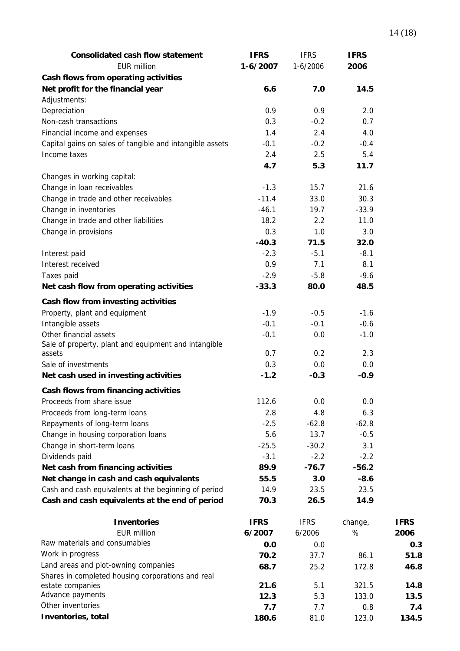| <b>Consolidated cash flow statement</b>                  | <b>IFRS</b> | <b>IFRS</b> | <b>IFRS</b> |
|----------------------------------------------------------|-------------|-------------|-------------|
| <b>EUR million</b>                                       | $1-6/2007$  | $1-6/2006$  | 2006        |
| Cash flows from operating activities                     |             |             |             |
| Net profit for the financial year                        | 6.6         | 7.0         | 14.5        |
| Adjustments:                                             |             |             |             |
| Depreciation                                             | 0.9         | 0.9         | 2.0         |
| Non-cash transactions                                    | 0.3         | $-0.2$      | 0.7         |
| Financial income and expenses                            | 1.4         | 2.4         | 4.0         |
| Capital gains on sales of tangible and intangible assets | $-0.1$      | $-0.2$      | $-0.4$      |
| Income taxes                                             | 2.4         | 2.5         | 5.4         |
|                                                          | 4.7         | 5.3         | 11.7        |
| Changes in working capital:                              |             |             |             |
| Change in loan receivables                               | $-1.3$      | 15.7        | 21.6        |
| Change in trade and other receivables                    | $-11.4$     | 33.0        | 30.3        |
| Change in inventories                                    | $-46.1$     | 19.7        | $-33.9$     |
| Change in trade and other liabilities                    | 18.2        | 2.2         | 11.0        |
| Change in provisions                                     | 0.3         | 1.0         | 3.0         |
|                                                          | $-40.3$     | 71.5        | 32.0        |
| Interest paid                                            | $-2.3$      | $-5.1$      | $-8.1$      |
| Interest received                                        | 0.9         | 7.1         | 8.1         |
| Taxes paid                                               | $-2.9$      | $-5.8$      | $-9.6$      |
| Net cash flow from operating activities                  | $-33.3$     | 80.0        | 48.5        |
| Cash flow from investing activities                      |             |             |             |
| Property, plant and equipment                            | $-1.9$      | $-0.5$      | $-1.6$      |
| Intangible assets                                        | $-0.1$      | $-0.1$      | $-0.6$      |
| Other financial assets                                   | $-0.1$      | 0.0         | $-1.0$      |
| Sale of property, plant and equipment and intangible     |             |             |             |
| assets                                                   | 0.7         | 0.2         | 2.3         |
| Sale of investments                                      | 0.3         | 0.0         | 0.0         |
| Net cash used in investing activities                    | $-1.2$      | $-0.3$      | $-0.9$      |
| Cash flows from financing activities                     |             |             |             |
| Proceeds from share issue                                | 112.6       | 0.0         | 0.0         |
| Proceeds from long-term loans                            | 2.8         | 4.8         | 6.3         |
| Repayments of long-term loans                            | $-2.5$      | $-62.8$     | $-62.8$     |
| Change in housing corporation loans                      | 5.6         | 13.7        | $-0.5$      |
| Change in short-term loans                               | $-25.5$     | $-30.2$     | 3.1         |
| Dividends paid                                           | $-3.1$      | $-2.2$      | $-2.2$      |
| Net cash from financing activities                       | 89.9        | $-76.7$     | $-56.2$     |
| Net change in cash and cash equivalents                  | 55.5        | 3.0         | $-8.6$      |
| Cash and cash equivalents at the beginning of period     | 14.9        | 23.5        | 23.5        |
| Cash and cash equivalents at the end of period           | 70.3        | 26.5        | 14.9        |

| <b>Inventories</b>                                | <b>IFRS</b> | <b>IFRS</b> | change, | <b>IFRS</b> |
|---------------------------------------------------|-------------|-------------|---------|-------------|
| EUR million                                       | 6/2007      | 6/2006      | %       | 2006        |
| Raw materials and consumables                     | 0.0         | 0.0         |         | 0.3         |
| Work in progress                                  | 70.2        | 37.7        | 86.1    | 51.8        |
| Land areas and plot-owning companies              | 68.7        | 25.2        | 172.8   | 46.8        |
| Shares in completed housing corporations and real |             |             |         |             |
| estate companies                                  | 21.6        | 5.1         | 321.5   | 14.8        |
| Advance payments                                  | 12.3        | 5.3         | 133.0   | 13.5        |
| Other inventories                                 | 7.7         | 7.7         | 0.8     | 7.4         |
| Inventories, total                                | 180.6       | 81.0        | 123.0   | 134.5       |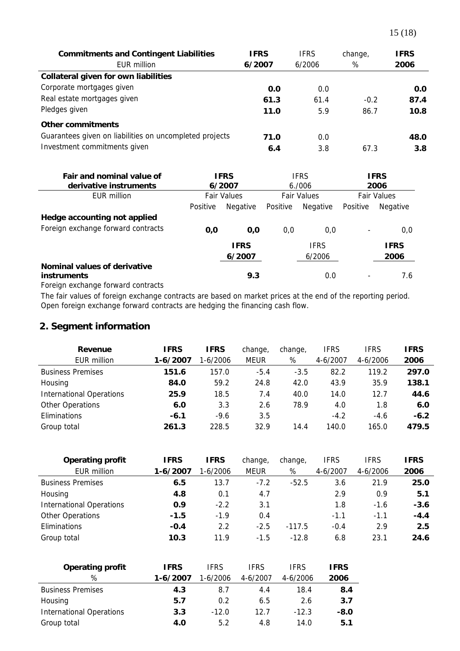| <b>Commitments and Contingent Liabilities</b><br>EUR million | IFRS<br>6/2007 | <b>IFRS</b><br>6/2006 | change,<br>% | <b>IFRS</b><br>2006 |
|--------------------------------------------------------------|----------------|-----------------------|--------------|---------------------|
| Collateral given for own liabilities                         |                |                       |              |                     |
| Corporate mortgages given                                    | 0.0            | 0.0                   |              | 0.0                 |
| Real estate mortgages given                                  | 61.3           | 61.4                  | $-0.2$       | 87.4                |
| Pledges given                                                | 11.0           | 5.9                   | 86.7         | 10.8                |
| Other commitments                                            |                |                       |              |                     |
| Guarantees given on liabilities on uncompleted projects      | 71.0           | 0.0                   |              | 48.0                |
| Investment commitments given                                 | 6.4            | 3.8                   | 67.3         | 3.8                 |

| Fair and nominal value of<br>derivative instruments |                                   | <b>IFRS</b><br>6/2007 |          | <b>IFRS</b><br>6./006 |          | <b>IFRS</b><br>2006 |
|-----------------------------------------------------|-----------------------------------|-----------------------|----------|-----------------------|----------|---------------------|
| EUR million                                         | <b>Fair Values</b><br>Fair Values |                       |          |                       |          | <b>Fair Values</b>  |
|                                                     | Positive                          | Negative              | Positive | Negative              | Positive | <b>Negative</b>     |
| Hedge accounting not applied                        |                                   |                       |          |                       |          |                     |
| Foreign exchange forward contracts                  | 0,0                               | O, O                  | 0,0      | 0,0                   |          | 0,0                 |
|                                                     |                                   | <b>IFRS</b>           |          | <b>IFRS</b>           |          | <b>IFRS</b>         |
|                                                     |                                   | 6/2007                |          | 6/2006                |          | 2006                |
| Nominal values of derivative                        |                                   |                       |          |                       |          |                     |
| <b>instruments</b>                                  |                                   | 9.3                   |          | 0.0                   |          | 7.6                 |
| Foreign exchange forward contracts                  |                                   |                       |          |                       |          |                     |

The fair values of foreign exchange contracts are based on market prices at the end of the reporting period. Open foreign exchange forward contracts are hedging the financing cash flow.

## **2. Segment information**

| Revenue                         | <b>IFRS</b> | <b>IFRS</b> | change,     | change, | <b>IFRS</b> | <b>IFRS</b> | <b>IFRS</b> |
|---------------------------------|-------------|-------------|-------------|---------|-------------|-------------|-------------|
| EUR million                     | 1-6/2007    | 1-6/2006    | <b>MEUR</b> | %       | 4-6/2007    | 4-6/2006    | 2006        |
| <b>Business Premises</b>        | 151.6       | 157.0       | $-5.4$      | $-3.5$  | 82.2        | 119.2       | 297.0       |
| Housing                         | 84.0        | 59.2        | 24.8        | 42.0    | 43.9        | 35.9        | 138.1       |
| <b>International Operations</b> | 25.9        | 18.5        | 7.4         | 40.0    | 14.0        | 12.7        | 44.6        |
| <b>Other Operations</b>         | 6.0         | 3.3         | 2.6         | 78.9    | 4.0         | 1.8         | 6.0         |
| Eliminations                    | $-6.1$      | $-9.6$      | 3.5         |         | $-4.2$      | $-4.6$      | $-6.2$      |
| Group total                     | 261.3       | 228.5       | 32.9        | 14.4    | 140.0       | 165.0       | 479.5       |

| <b>Operating profit</b>         | <b>IFRS</b> | <b>IFRS</b> | change,     | change,  | <b>IFRS</b>  | <b>IFRS</b> | <b>IFRS</b> |
|---------------------------------|-------------|-------------|-------------|----------|--------------|-------------|-------------|
| EUR million                     | 1-6/2007    | $1-6/2006$  | <b>MEUR</b> | %        | $4 - 6/2007$ | 4-6/2006    | 2006        |
| <b>Business Premises</b>        | 6.5         | 13.7        | $-7.2$      | $-52.5$  | 3.6          | 21.9        | 25.0        |
| Housing                         | 4.8         | 0.1         | 4.7         |          | 2.9          | 0.9         | 5.1         |
| <b>International Operations</b> | 0.9         | $-2.2$      | 3.1         |          | 1.8          | $-1.6$      | $-3.6$      |
| <b>Other Operations</b>         | $-1.5$      | $-1.9$      | 0.4         |          | $-1.1$       | $-1.1$      | $-4.4$      |
| Eliminations                    | $-0.4$      | 2.2         | $-2.5$      | $-117.5$ | $-0.4$       | 2.9         | 2.5         |
| Group total                     | 10.3        | 11.9        | $-1.5$      | $-12.8$  | 6.8          | 23.1        | 24.6        |

| <b>Operating profit</b>         | <b>IFRS</b> | <b>IFRS</b> | <b>IFRS</b> | <b>IFRS</b>  | <b>IFRS</b> |
|---------------------------------|-------------|-------------|-------------|--------------|-------------|
| %                               | 1-6/2007    | 1-6/2006    | 4-6/2007    | $4 - 6/2006$ | 2006        |
| <b>Business Premises</b>        | 4.3         | 8.7         | 4.4         | 18.4         | 8.4         |
| Housing                         | 5.7         | 0.2         | 6.5         | 2.6          | 3.7         |
| <b>International Operations</b> | 3.3         | $-12.0$     | 12.7        | $-12.3$      | $-8.0$      |
| Group total                     | 4.0         | 5.2         | 4.8         | 14.0         | 5.1         |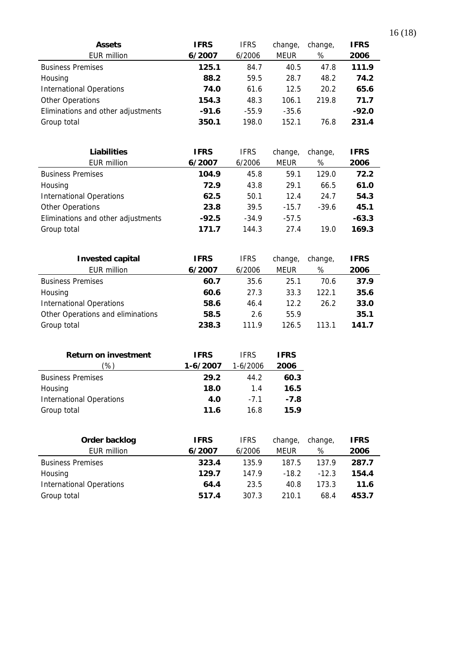| <b>Assets</b>                      | <b>IFRS</b> | <b>IFRS</b> | change,     | change, | <b>IFRS</b> |
|------------------------------------|-------------|-------------|-------------|---------|-------------|
| EUR million                        | 6/2007      | 6/2006      | <b>MEUR</b> | %       | 2006        |
| <b>Business Premises</b>           | 125.1       | 84.7        | 40.5        | 47.8    | 111.9       |
| Housing                            | 88.2        | 59.5        | 28.7        | 48.2    | 74.2        |
| <b>International Operations</b>    | 74.0        | 61.6        | 12.5        | 20.2    | 65.6        |
| Other Operations                   | 154.3       | 48.3        | 106.1       | 219.8   | 71.7        |
| Eliminations and other adjustments | $-91.6$     | $-55.9$     | $-35.6$     |         | $-92.0$     |
| Group total                        | 350.1       | 198.0       | 152.1       | 76.8    | 231.4       |

| <b>Liabilities</b>                 | <b>IFRS</b> | <b>IFRS</b> | change, | change, | <b>IFRS</b> |
|------------------------------------|-------------|-------------|---------|---------|-------------|
| EUR million                        | 6/2007      | 6/2006      | MEUR    | %       | 2006        |
| <b>Business Premises</b>           | 104.9       | 45.8        | 59.1    | 129.0   | 72.2        |
| Housing                            | 72.9        | 43.8        | 29.1    | 66.5    | 61.0        |
| <b>International Operations</b>    | 62.5        | 50.1        | 12.4    | 24.7    | 54.3        |
| <b>Other Operations</b>            | 23.8        | 39.5        | $-15.7$ | $-39.6$ | 45.1        |
| Eliminations and other adjustments | $-92.5$     | $-34.9$     | $-57.5$ |         | $-63.3$     |
| Group total                        | 171.7       | 144.3       | 27.4    | 19.0    | 169.3       |

| <b>Invested capital</b>           | <b>IFRS</b> | <b>IFRS</b> | change, | change, | <b>IFRS</b> |
|-----------------------------------|-------------|-------------|---------|---------|-------------|
| EUR million                       | 6/2007      | 6/2006      | MEUR    | %       | 2006        |
| <b>Business Premises</b>          | 60.7        | 35.6        | 25.1    | 70.6    | 37.9        |
| Housing                           | 60.6        | 27.3        | 33.3    | 122.1   | 35.6        |
| <b>International Operations</b>   | 58.6        | 46.4        | 12.2    | 26.2    | 33.0        |
| Other Operations and eliminations | 58.5        | 2.6         | 55.9    |         | 35.1        |
| Group total                       | 238.3       | 111.9       | 126.5   | 113.1   | 141.7       |

| <b>Return on investment</b>     | <b>IFRS</b> | <b>IFRS</b> | <b>IFRS</b> |
|---------------------------------|-------------|-------------|-------------|
| '%)                             | 1-6/2007    | $1-6/2006$  | 2006        |
| <b>Business Premises</b>        | 29.2        | 44.2        | 60.3        |
| Housing                         | 18.0        | 14          | 16.5        |
| <b>International Operations</b> | 4.O         | $-7.1$      | $-7.8$      |
| Group total                     | 11.6        | 16.8        | 15.9        |

| Order backlog                   | <b>IFRS</b> | <b>IFRS</b> | change, | change, | <b>IFRS</b> |
|---------------------------------|-------------|-------------|---------|---------|-------------|
| EUR million                     | 6/2007      | 6/2006      | MEUR    | %       | 2006        |
| <b>Business Premises</b>        | 323.4       | 135.9       | 187.5   | 137.9   | 287.7       |
| Housing                         | 129.7       | 147.9       | $-18.2$ | $-12.3$ | 154.4       |
| <b>International Operations</b> | 64.4        | 23.5        | 40.8    | 173.3   | 11.6        |
| Group total                     | 517.4       | 307.3       | 210.1   | 68.4    | 453.7       |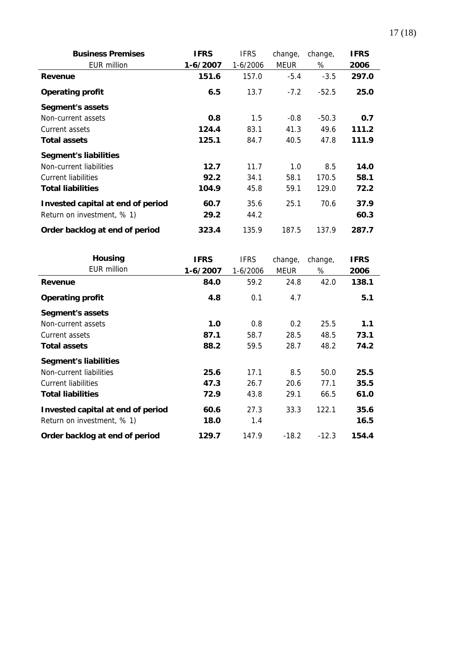| <b>Business Premises</b>          | <b>IFRS</b> | <b>IFRS</b> | change, | change, | <b>IFRS</b> |
|-----------------------------------|-------------|-------------|---------|---------|-------------|
| <b>EUR million</b>                | 1-6/2007    | 1-6/2006    | MEUR    | %       | 2006        |
| Revenue                           | 151.6       | 157.0       | $-5.4$  | $-3.5$  | 297.0       |
| <b>Operating profit</b>           | 6.5         | 13.7        | $-7.2$  | $-52.5$ | 25.0        |
| Segment's assets                  |             |             |         |         |             |
| Non-current assets                | 0.8         | 1.5         | $-0.8$  | $-50.3$ | 0.7         |
| Current assets                    | 124.4       | 83.1        | 41.3    | 49.6    | 111.2       |
| <b>Total assets</b>               | 125.1       | 84.7        | 40.5    | 47.8    | 111.9       |
| <b>Segment's liabilities</b>      |             |             |         |         |             |
| Non-current liabilities           | 12.7        | 11.7        | 1.0     | 8.5     | 14.0        |
| Current liabilities               | 92.2        | 34.1        | 58.1    | 170.5   | 58.1        |
| <b>Total liabilities</b>          | 104.9       | 45.8        | 59.1    | 129.0   | 72.2        |
| Invested capital at end of period | 60.7        | 35.6        | 25.1    | 70.6    | 37.9        |
| Return on investment, % 1)        | 29.2        | 44.2        |         |         | 60.3        |
| Order backlog at end of period    | 323.4       | 135.9       | 187.5   | 137.9   | 287.7       |

| <b>Housing</b>                    | <b>IFRS</b> | <b>IFRS</b> | change,     | change, | <b>IFRS</b> |
|-----------------------------------|-------------|-------------|-------------|---------|-------------|
| <b>EUR million</b>                | 1-6/2007    | 1-6/2006    | <b>MEUR</b> | %       | 2006        |
| Revenue                           | 84.0        | 59.2        | 24.8        | 42.0    | 138.1       |
| <b>Operating profit</b>           | 4.8         | 0.1         | 4.7         |         | 5.1         |
| Segment's assets                  |             |             |             |         |             |
| Non-current assets                | 1.0         | 0.8         | 0.2         | 25.5    | 1.1         |
| Current assets                    | 87.1        | 58.7        | 28.5        | 48.5    | 73.1        |
| <b>Total assets</b>               | 88.2        | 59.5        | 28.7        | 48.2    | 74.2        |
| <b>Segment's liabilities</b>      |             |             |             |         |             |
| Non-current liabilities           | 25.6        | 17.1        | 8.5         | 50.0    | 25.5        |
| Current liabilities               | 47.3        | 26.7        | 20.6        | 77.1    | 35.5        |
| <b>Total liabilities</b>          | 72.9        | 43.8        | 29.1        | 66.5    | 61.0        |
| Invested capital at end of period | 60.6        | 27.3        | 33.3        | 122.1   | 35.6        |
| Return on investment, % 1)        | 18.0        | 1.4         |             |         | 16.5        |
| Order backlog at end of period    | 129.7       | 147.9       | $-18.2$     | $-12.3$ | 154.4       |